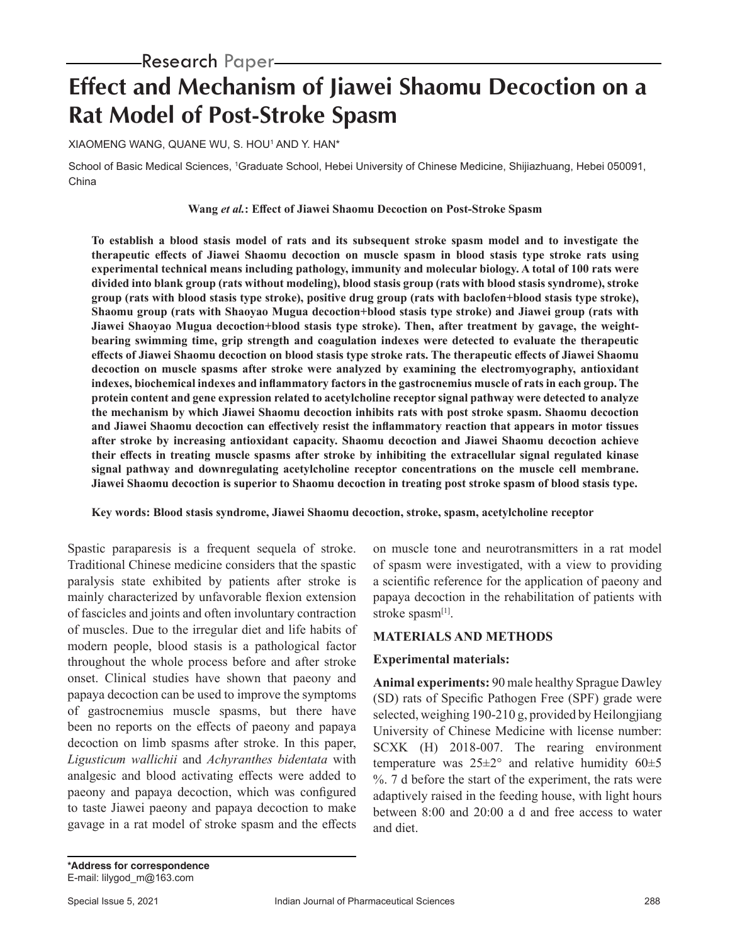# Research Paper

# **Effect and Mechanism of Jiawei Shaomu Decoction on a Rat Model of Post-Stroke Spasm**

XIAOMENG WANG, QUANE WU, S. HOU1 AND Y. HAN\*

School of Basic Medical Sciences, 1 Graduate School, Hebei University of Chinese Medicine, Shijiazhuang, Hebei 050091, China

#### **Wang** *et al.***: Effect of Jiawei Shaomu Decoction on Post-Stroke Spasm**

**To establish a blood stasis model of rats and its subsequent stroke spasm model and to investigate the therapeutic effects of Jiawei Shaomu decoction on muscle spasm in blood stasis type stroke rats using experimental technical means including pathology, immunity and molecular biology. A total of 100 rats were divided into blank group (rats without modeling), blood stasis group (rats with blood stasis syndrome), stroke group (rats with blood stasis type stroke), positive drug group (rats with baclofen+blood stasis type stroke), Shaomu group (rats with Shaoyao Mugua decoction+blood stasis type stroke) and Jiawei group (rats with Jiawei Shaoyao Mugua decoction+blood stasis type stroke). Then, after treatment by gavage, the weightbearing swimming time, grip strength and coagulation indexes were detected to evaluate the therapeutic effects of Jiawei Shaomu decoction on blood stasis type stroke rats. The therapeutic effects of Jiawei Shaomu decoction on muscle spasms after stroke were analyzed by examining the electromyography, antioxidant indexes, biochemical indexes and inflammatory factors in the gastrocnemius muscle of rats in each group. The protein content and gene expression related to acetylcholine receptor signal pathway were detected to analyze the mechanism by which Jiawei Shaomu decoction inhibits rats with post stroke spasm. Shaomu decoction and Jiawei Shaomu decoction can effectively resist the inflammatory reaction that appears in motor tissues after stroke by increasing antioxidant capacity. Shaomu decoction and Jiawei Shaomu decoction achieve their effects in treating muscle spasms after stroke by inhibiting the extracellular signal regulated kinase signal pathway and downregulating acetylcholine receptor concentrations on the muscle cell membrane. Jiawei Shaomu decoction is superior to Shaomu decoction in treating post stroke spasm of blood stasis type.** 

#### **Key words: Blood stasis syndrome, Jiawei Shaomu decoction, stroke, spasm, acetylcholine receptor**

Spastic paraparesis is a frequent sequela of stroke. Traditional Chinese medicine considers that the spastic paralysis state exhibited by patients after stroke is mainly characterized by unfavorable flexion extension of fascicles and joints and often involuntary contraction of muscles. Due to the irregular diet and life habits of modern people, blood stasis is a pathological factor throughout the whole process before and after stroke onset. Clinical studies have shown that paeony and papaya decoction can be used to improve the symptoms of gastrocnemius muscle spasms, but there have been no reports on the effects of paeony and papaya decoction on limb spasms after stroke. In this paper, *Ligusticum wallichii* and *Achyranthes bidentata* with analgesic and blood activating effects were added to paeony and papaya decoction, which was configured to taste Jiawei paeony and papaya decoction to make gavage in a rat model of stroke spasm and the effects

on muscle tone and neurotransmitters in a rat model of spasm were investigated, with a view to providing a scientific reference for the application of paeony and papaya decoction in the rehabilitation of patients with stroke spasm<sup>[1]</sup>.

#### **MATERIALS AND METHODS**

#### **Experimental materials:**

**Animal experiments:** 90 male healthy Sprague Dawley (SD) rats of Specific Pathogen Free (SPF) grade were selected, weighing 190-210 g, provided by Heilongjiang University of Chinese Medicine with license number: SCXK (H) 2018-007. The rearing environment temperature was  $25\pm2^{\circ}$  and relative humidity  $60\pm5$ %. 7 d before the start of the experiment, the rats were adaptively raised in the feeding house, with light hours between 8:00 and 20:00 a d and free access to water and diet.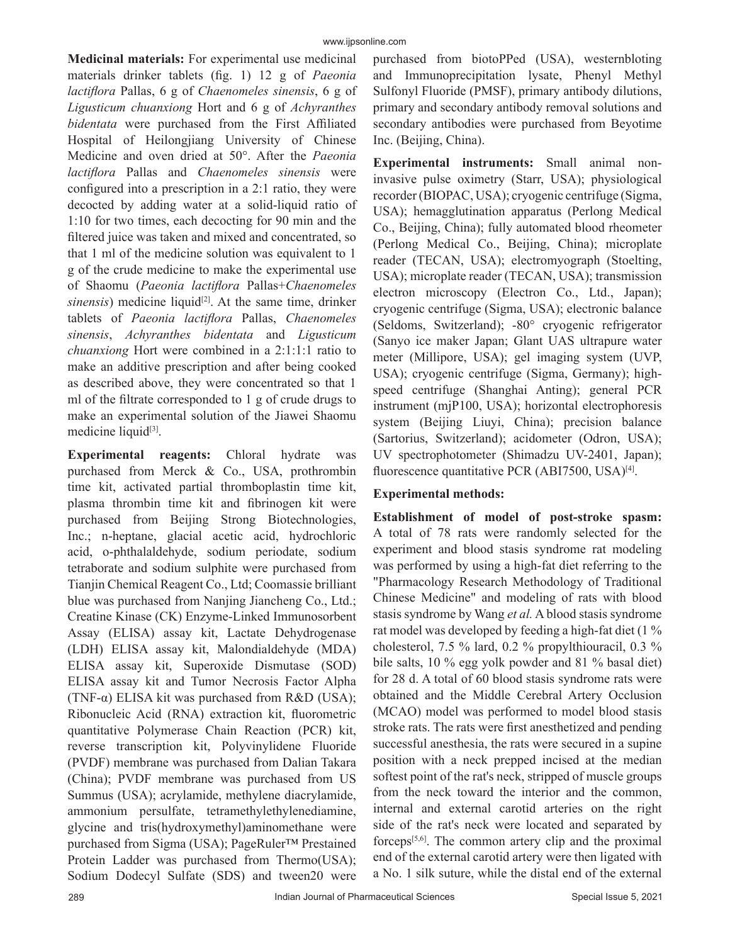**Medicinal materials:** For experimental use medicinal materials drinker tablets (fig. 1) 12 g of *Paeonia lactiflora* Pallas, 6 g of *Chaenomeles sinensis*, 6 g of *Ligusticum chuanxiong* Hort and 6 g of *Achyranthes bidentata* were purchased from the First Affiliated Hospital of Heilongjiang University of Chinese Medicine and oven dried at 50°. After the *Paeonia lactiflora* Pallas and *Chaenomeles sinensis* were configured into a prescription in a 2:1 ratio, they were decocted by adding water at a solid-liquid ratio of 1:10 for two times, each decocting for 90 min and the filtered juice was taken and mixed and concentrated, so that 1 ml of the medicine solution was equivalent to 1 g of the crude medicine to make the experimental use of Shaomu (*Paeonia lactiflora* Pallas+*Chaenomeles sinensis*) medicine liquid<sup>[2]</sup>. At the same time, drinker tablets of *Paeonia lactiflora* Pallas, *Chaenomeles sinensis*, *Achyranthes bidentata* and *Ligusticum chuanxiong* Hort were combined in a 2:1:1:1 ratio to make an additive prescription and after being cooked as described above, they were concentrated so that 1 ml of the filtrate corresponded to 1 g of crude drugs to make an experimental solution of the Jiawei Shaomu medicine liquid<sup>[3]</sup>.

**Experimental reagents:** Chloral hydrate was purchased from Merck & Co., USA, prothrombin time kit, activated partial thromboplastin time kit, plasma thrombin time kit and fibrinogen kit were purchased from Beijing Strong Biotechnologies, Inc.; n-heptane, glacial acetic acid, hydrochloric acid, o-phthalaldehyde, sodium periodate, sodium tetraborate and sodium sulphite were purchased from Tianjin Chemical Reagent Co., Ltd; Coomassie brilliant blue was purchased from Nanjing Jiancheng Co., Ltd.; Creatine Kinase (CK) Enzyme-Linked Immunosorbent Assay (ELISA) assay kit, Lactate Dehydrogenase (LDH) ELISA assay kit, Malondialdehyde (MDA) ELISA assay kit, Superoxide Dismutase (SOD) ELISA assay kit and Tumor Necrosis Factor Alpha (TNF- $\alpha$ ) ELISA kit was purchased from R&D (USA); Ribonucleic Acid (RNA) extraction kit, fluorometric quantitative Polymerase Chain Reaction (PCR) kit, reverse transcription kit, Polyvinylidene Fluoride (PVDF) membrane was purchased from Dalian Takara (China); PVDF membrane was purchased from US Summus (USA); acrylamide, methylene diacrylamide, ammonium persulfate, tetramethylethylenediamine, glycine and tris(hydroxymethyl)aminomethane were purchased from Sigma (USA); PageRuler™ Prestained Protein Ladder was purchased from Thermo(USA); Sodium Dodecyl Sulfate (SDS) and tween20 were purchased from biotoPPed (USA), westernbloting and Immunoprecipitation lysate, Phenyl Methyl Sulfonyl Fluoride (PMSF), primary antibody dilutions, primary and secondary antibody removal solutions and secondary antibodies were purchased from Beyotime Inc. (Beijing, China).

**Experimental instruments:** Small animal noninvasive pulse oximetry (Starr, USA); physiological recorder (BIOPAC, USA); cryogenic centrifuge (Sigma, USA); hemagglutination apparatus (Perlong Medical Co., Beijing, China); fully automated blood rheometer (Perlong Medical Co., Beijing, China); microplate reader (TECAN, USA); electromyograph (Stoelting, USA); microplate reader (TECAN, USA); transmission electron microscopy (Electron Co., Ltd., Japan); cryogenic centrifuge (Sigma, USA); electronic balance (Seldoms, Switzerland); -80° cryogenic refrigerator (Sanyo ice maker Japan; Glant UAS ultrapure water meter (Millipore, USA); gel imaging system (UVP, USA); cryogenic centrifuge (Sigma, Germany); highspeed centrifuge (Shanghai Anting); general PCR instrument (mjP100, USA); horizontal electrophoresis system (Beijing Liuyi, China); precision balance (Sartorius, Switzerland); acidometer (Odron, USA); UV spectrophotometer (Shimadzu UV-2401, Japan); fluorescence quantitative PCR (ABI7500, USA)<sup>[4]</sup>.

#### **Experimental methods:**

**Establishment of model of post-stroke spasm:** A total of 78 rats were randomly selected for the experiment and blood stasis syndrome rat modeling was performed by using a high-fat diet referring to the "Pharmacology Research Methodology of Traditional Chinese Medicine" and modeling of rats with blood stasis syndrome by Wang *et al.* A blood stasis syndrome rat model was developed by feeding a high-fat diet (1 % cholesterol, 7.5 % lard, 0.2 % propylthiouracil, 0.3 % bile salts, 10 % egg yolk powder and 81 % basal diet) for 28 d. A total of 60 blood stasis syndrome rats were obtained and the Middle Cerebral Artery Occlusion (MCAO) model was performed to model blood stasis stroke rats. The rats were first anesthetized and pending successful anesthesia, the rats were secured in a supine position with a neck prepped incised at the median softest point of the rat's neck, stripped of muscle groups from the neck toward the interior and the common, internal and external carotid arteries on the right side of the rat's neck were located and separated by forceps $[5,6]$ . The common artery clip and the proximal end of the external carotid artery were then ligated with a No. 1 silk suture, while the distal end of the external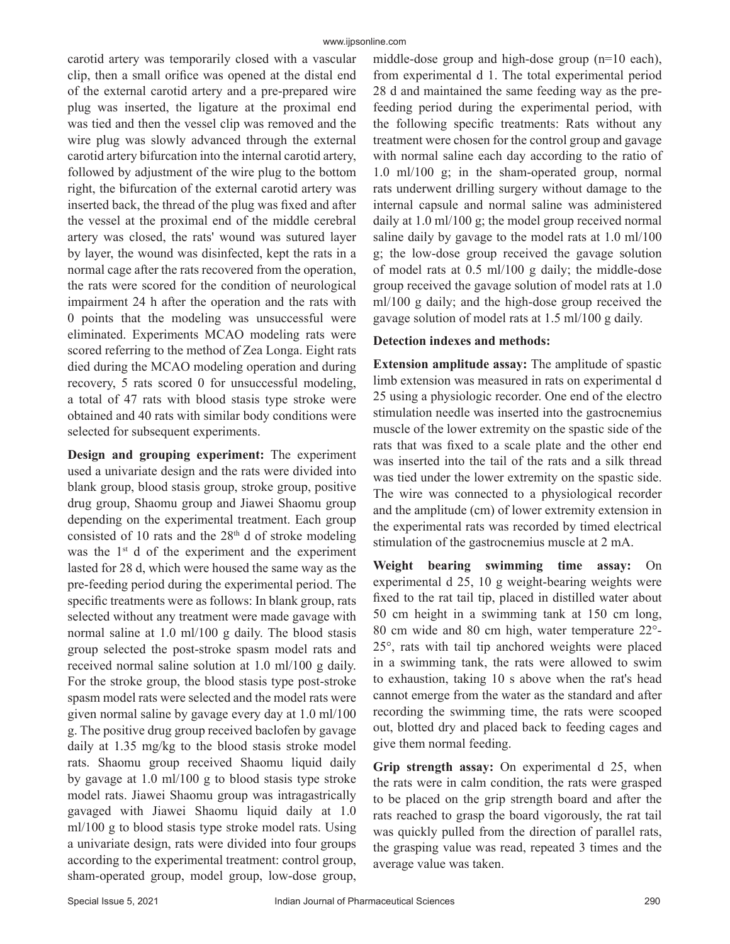carotid artery was temporarily closed with a vascular clip, then a small orifice was opened at the distal end of the external carotid artery and a pre-prepared wire plug was inserted, the ligature at the proximal end was tied and then the vessel clip was removed and the wire plug was slowly advanced through the external carotid artery bifurcation into the internal carotid artery, followed by adjustment of the wire plug to the bottom right, the bifurcation of the external carotid artery was inserted back, the thread of the plug was fixed and after the vessel at the proximal end of the middle cerebral artery was closed, the rats' wound was sutured layer by layer, the wound was disinfected, kept the rats in a normal cage after the rats recovered from the operation, the rats were scored for the condition of neurological impairment 24 h after the operation and the rats with 0 points that the modeling was unsuccessful were eliminated. Experiments MCAO modeling rats were scored referring to the method of Zea Longa. Eight rats died during the MCAO modeling operation and during recovery, 5 rats scored 0 for unsuccessful modeling, a total of 47 rats with blood stasis type stroke were obtained and 40 rats with similar body conditions were selected for subsequent experiments.

**Design and grouping experiment:** The experiment used a univariate design and the rats were divided into blank group, blood stasis group, stroke group, positive drug group, Shaomu group and Jiawei Shaomu group depending on the experimental treatment. Each group consisted of 10 rats and the  $28<sup>th</sup>$  d of stroke modeling was the 1<sup>st</sup> d of the experiment and the experiment lasted for 28 d, which were housed the same way as the pre-feeding period during the experimental period. The specific treatments were as follows: In blank group, rats selected without any treatment were made gavage with normal saline at 1.0 ml/100 g daily. The blood stasis group selected the post-stroke spasm model rats and received normal saline solution at 1.0 ml/100 g daily. For the stroke group, the blood stasis type post-stroke spasm model rats were selected and the model rats were given normal saline by gavage every day at 1.0 ml/100 g. The positive drug group received baclofen by gavage daily at 1.35 mg/kg to the blood stasis stroke model rats. Shaomu group received Shaomu liquid daily by gavage at 1.0 ml/100 g to blood stasis type stroke model rats. Jiawei Shaomu group was intragastrically gavaged with Jiawei Shaomu liquid daily at 1.0 ml/100 g to blood stasis type stroke model rats. Using a univariate design, rats were divided into four groups according to the experimental treatment: control group, sham-operated group, model group, low-dose group,

middle-dose group and high-dose group (n=10 each), from experimental d 1. The total experimental period 28 d and maintained the same feeding way as the prefeeding period during the experimental period, with the following specific treatments: Rats without any treatment were chosen for the control group and gavage with normal saline each day according to the ratio of 1.0 ml/100 g; in the sham-operated group, normal rats underwent drilling surgery without damage to the internal capsule and normal saline was administered daily at 1.0 ml/100 g; the model group received normal saline daily by gavage to the model rats at 1.0 ml/100 g; the low-dose group received the gavage solution of model rats at 0.5 ml/100 g daily; the middle-dose group received the gavage solution of model rats at 1.0 ml/100 g daily; and the high-dose group received the gavage solution of model rats at 1.5 ml/100 g daily.

#### **Detection indexes and methods:**

**Extension amplitude assay:** The amplitude of spastic limb extension was measured in rats on experimental d 25 using a physiologic recorder. One end of the electro stimulation needle was inserted into the gastrocnemius muscle of the lower extremity on the spastic side of the rats that was fixed to a scale plate and the other end was inserted into the tail of the rats and a silk thread was tied under the lower extremity on the spastic side. The wire was connected to a physiological recorder and the amplitude (cm) of lower extremity extension in the experimental rats was recorded by timed electrical stimulation of the gastrocnemius muscle at 2 mA.

**Weight bearing swimming time assay:** On experimental d 25, 10 g weight-bearing weights were fixed to the rat tail tip, placed in distilled water about 50 cm height in a swimming tank at 150 cm long, 80 cm wide and 80 cm high, water temperature 22°- 25°, rats with tail tip anchored weights were placed in a swimming tank, the rats were allowed to swim to exhaustion, taking 10 s above when the rat's head cannot emerge from the water as the standard and after recording the swimming time, the rats were scooped out, blotted dry and placed back to feeding cages and give them normal feeding.

**Grip strength assay:** On experimental d 25, when the rats were in calm condition, the rats were grasped to be placed on the grip strength board and after the rats reached to grasp the board vigorously, the rat tail was quickly pulled from the direction of parallel rats, the grasping value was read, repeated 3 times and the average value was taken.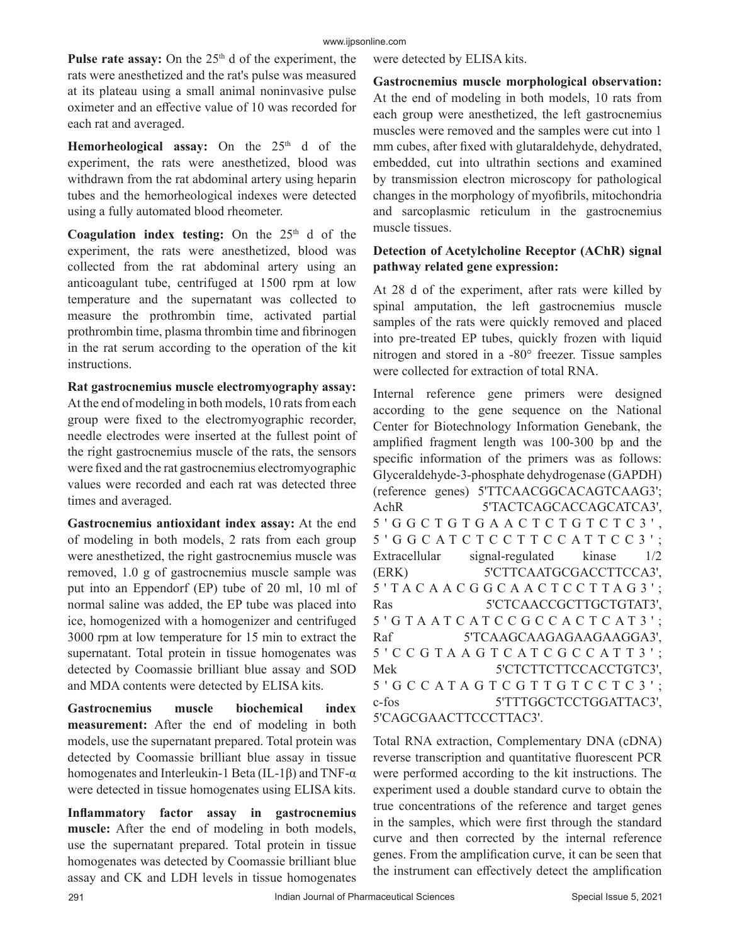#### www.ijpsonline.com

Pulse rate assay: On the 25<sup>th</sup> d of the experiment, the rats were anesthetized and the rat's pulse was measured at its plateau using a small animal noninvasive pulse oximeter and an effective value of 10 was recorded for each rat and averaged.

**Hemorheological assay:** On the 25<sup>th</sup> d of the experiment, the rats were anesthetized, blood was withdrawn from the rat abdominal artery using heparin tubes and the hemorheological indexes were detected using a fully automated blood rheometer.

Coagulation index testing: On the 25<sup>th</sup> d of the experiment, the rats were anesthetized, blood was collected from the rat abdominal artery using an anticoagulant tube, centrifuged at 1500 rpm at low temperature and the supernatant was collected to measure the prothrombin time, activated partial prothrombin time, plasma thrombin time and fibrinogen in the rat serum according to the operation of the kit instructions.

**Rat gastrocnemius muscle electromyography assay:** At the end of modeling in both models, 10 rats from each group were fixed to the electromyographic recorder, needle electrodes were inserted at the fullest point of the right gastrocnemius muscle of the rats, the sensors were fixed and the rat gastrocnemius electromyographic values were recorded and each rat was detected three times and averaged.

**Gastrocnemius antioxidant index assay:** At the end of modeling in both models, 2 rats from each group were anesthetized, the right gastrocnemius muscle was removed, 1.0 g of gastrocnemius muscle sample was put into an Eppendorf (EP) tube of 20 ml, 10 ml of normal saline was added, the EP tube was placed into ice, homogenized with a homogenizer and centrifuged 3000 rpm at low temperature for 15 min to extract the supernatant. Total protein in tissue homogenates was detected by Coomassie brilliant blue assay and SOD and MDA contents were detected by ELISA kits.

**Gastrocnemius muscle biochemical index measurement:** After the end of modeling in both models, use the supernatant prepared. Total protein was detected by Coomassie brilliant blue assay in tissue homogenates and Interleukin-1 Beta (IL-1β) and TNF-α were detected in tissue homogenates using ELISA kits.

**Inflammatory factor assay in gastrocnemius muscle:** After the end of modeling in both models, use the supernatant prepared. Total protein in tissue homogenates was detected by Coomassie brilliant blue assay and CK and LDH levels in tissue homogenates

were detected by ELISA kits.

**Gastrocnemius muscle morphological observation:** At the end of modeling in both models, 10 rats from each group were anesthetized, the left gastrocnemius muscles were removed and the samples were cut into 1 mm cubes, after fixed with glutaraldehyde, dehydrated, embedded, cut into ultrathin sections and examined by transmission electron microscopy for pathological changes in the morphology of myofibrils, mitochondria and sarcoplasmic reticulum in the gastrocnemius muscle tissues.

## **Detection of Acetylcholine Receptor (AChR) signal pathway related gene expression:**

At 28 d of the experiment, after rats were killed by spinal amputation, the left gastrocnemius muscle samples of the rats were quickly removed and placed into pre-treated EP tubes, quickly frozen with liquid nitrogen and stored in a -80° freezer. Tissue samples were collected for extraction of total RNA.

Internal reference gene primers were designed according to the gene sequence on the National Center for Biotechnology Information Genebank, the amplified fragment length was 100-300 bp and the specific information of the primers was as follows: Glyceraldehyde-3-phosphate dehydrogenase (GAPDH) (reference genes) 5'TTCAACGGCACAGTCAAG3'; AchR 5'TACTCAGCACCAGCATCA3', 5 ' G G C T G T G A A C T C T G T C T C 3 ' , 5 ' G G C A T C T C C T T C C A T T C C 3 ' ; Extracellular signal-regulated kinase 1/2 (ERK) 5'CTTCAATGCGACCTTCCA3', 5 ' T A C A A C G G C A A C T C C T T A G 3 ' ; Ras 5'CTCAACCGCTTGCTGTAT3',  $5'$  G T A A T C A T C C G C C A C T C A T 3'; Raf 5'TCAAGCAAGAAGAAGAAGGA3', 5 ' C C G T A A G T C A T C G C C A T T 3 ' ; Mek 5'CTCTTCTTCCACCTGTC3', 5 ' G C C A T A G T C G T T G T C C T C 3 ' ; c-fos 5'TTTGGCTCCTGGATTAC3', 5'CAGCGAACTTCCCTTAC3'.

Total RNA extraction, Complementary DNA (cDNA) reverse transcription and quantitative fluorescent PCR were performed according to the kit instructions. The experiment used a double standard curve to obtain the true concentrations of the reference and target genes in the samples, which were first through the standard curve and then corrected by the internal reference genes. From the amplification curve, it can be seen that the instrument can effectively detect the amplification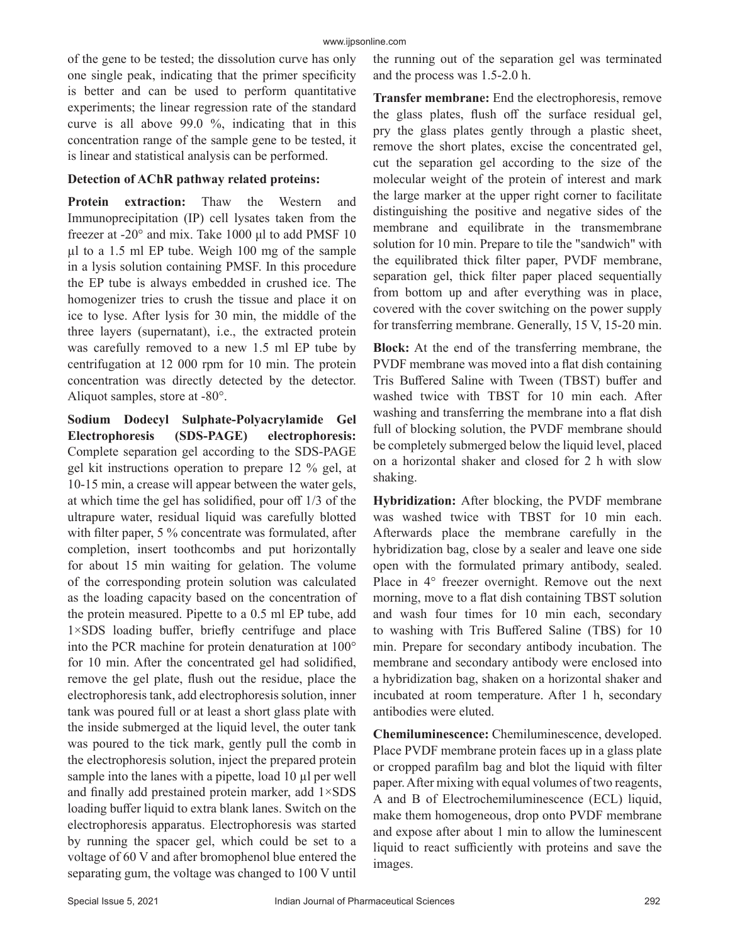of the gene to be tested; the dissolution curve has only one single peak, indicating that the primer specificity is better and can be used to perform quantitative experiments; the linear regression rate of the standard curve is all above 99.0 %, indicating that in this concentration range of the sample gene to be tested, it is linear and statistical analysis can be performed.

#### **Detection of AChR pathway related proteins:**

**Protein extraction:** Thaw the Western and Immunoprecipitation (IP) cell lysates taken from the freezer at -20° and mix. Take 1000 μl to add PMSF 10 µl to a 1.5 ml EP tube. Weigh 100 mg of the sample in a lysis solution containing PMSF. In this procedure the EP tube is always embedded in crushed ice. The homogenizer tries to crush the tissue and place it on ice to lyse. After lysis for 30 min, the middle of the three layers (supernatant), i.e., the extracted protein was carefully removed to a new 1.5 ml EP tube by centrifugation at 12 000 rpm for 10 min. The protein concentration was directly detected by the detector. Aliquot samples, store at -80°.

**Sodium Dodecyl Sulphate-Polyacrylamide Gel Electrophoresis (SDS-PAGE) electrophoresis:**  Complete separation gel according to the SDS-PAGE gel kit instructions operation to prepare 12 % gel, at 10-15 min, a crease will appear between the water gels, at which time the gel has solidified, pour off 1/3 of the ultrapure water, residual liquid was carefully blotted with filter paper, 5 % concentrate was formulated, after completion, insert toothcombs and put horizontally for about 15 min waiting for gelation. The volume of the corresponding protein solution was calculated as the loading capacity based on the concentration of the protein measured. Pipette to a 0.5 ml EP tube, add 1×SDS loading buffer, briefly centrifuge and place into the PCR machine for protein denaturation at 100° for 10 min. After the concentrated gel had solidified, remove the gel plate, flush out the residue, place the electrophoresis tank, add electrophoresis solution, inner tank was poured full or at least a short glass plate with the inside submerged at the liquid level, the outer tank was poured to the tick mark, gently pull the comb in the electrophoresis solution, inject the prepared protein sample into the lanes with a pipette, load 10 µl per well and finally add prestained protein marker, add 1×SDS loading buffer liquid to extra blank lanes. Switch on the electrophoresis apparatus. Electrophoresis was started by running the spacer gel, which could be set to a voltage of 60 V and after bromophenol blue entered the separating gum, the voltage was changed to 100 V until the running out of the separation gel was terminated and the process was 1.5-2.0 h.

**Transfer membrane:** End the electrophoresis, remove the glass plates, flush off the surface residual gel, pry the glass plates gently through a plastic sheet, remove the short plates, excise the concentrated gel, cut the separation gel according to the size of the molecular weight of the protein of interest and mark the large marker at the upper right corner to facilitate distinguishing the positive and negative sides of the membrane and equilibrate in the transmembrane solution for 10 min. Prepare to tile the "sandwich" with the equilibrated thick filter paper, PVDF membrane, separation gel, thick filter paper placed sequentially from bottom up and after everything was in place, covered with the cover switching on the power supply for transferring membrane. Generally, 15 V, 15-20 min.

**Block:** At the end of the transferring membrane, the PVDF membrane was moved into a flat dish containing Tris Buffered Saline with Tween (TBST) buffer and washed twice with TBST for 10 min each. After washing and transferring the membrane into a flat dish full of blocking solution, the PVDF membrane should be completely submerged below the liquid level, placed on a horizontal shaker and closed for 2 h with slow shaking.

**Hybridization:** After blocking, the PVDF membrane was washed twice with TBST for 10 min each. Afterwards place the membrane carefully in the hybridization bag, close by a sealer and leave one side open with the formulated primary antibody, sealed. Place in 4° freezer overnight. Remove out the next morning, move to a flat dish containing TBST solution and wash four times for 10 min each, secondary to washing with Tris Buffered Saline (TBS) for 10 min. Prepare for secondary antibody incubation. The membrane and secondary antibody were enclosed into a hybridization bag, shaken on a horizontal shaker and incubated at room temperature. After 1 h, secondary antibodies were eluted.

**Chemiluminescence:** Chemiluminescence, developed. Place PVDF membrane protein faces up in a glass plate or cropped parafilm bag and blot the liquid with filter paper. After mixing with equal volumes of two reagents, A and B of Electrochemiluminescence (ECL) liquid, make them homogeneous, drop onto PVDF membrane and expose after about 1 min to allow the luminescent liquid to react sufficiently with proteins and save the images.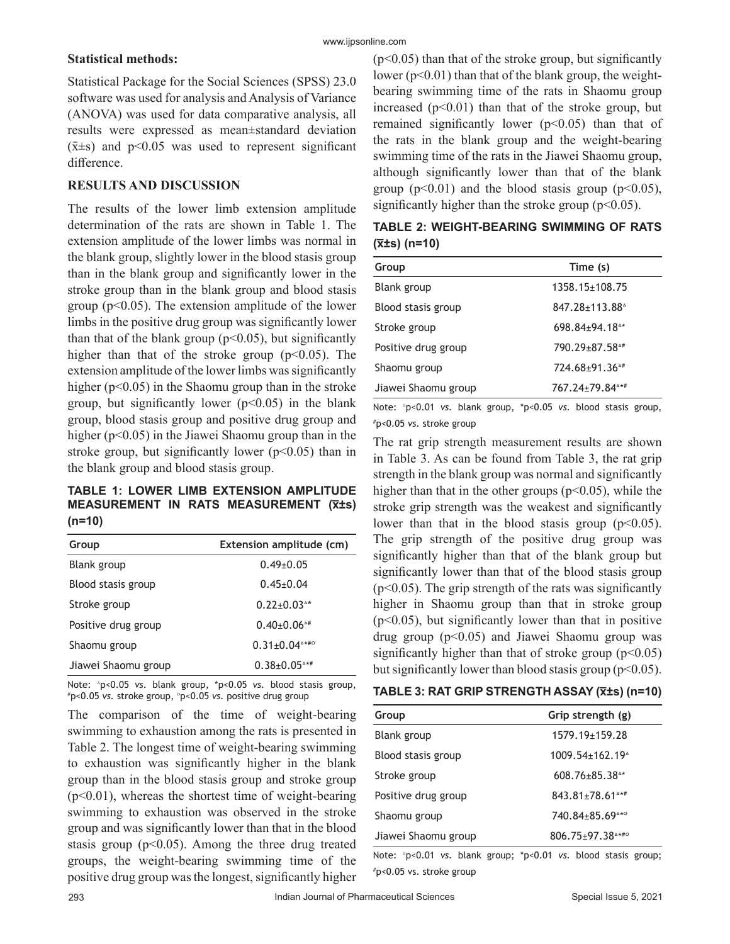#### **Statistical methods:**

Statistical Package for the Social Sciences (SPSS) 23.0 software was used for analysis and Analysis of Variance (ANOVA) was used for data comparative analysis, all results were expressed as mean±standard deviation  $(\bar{x} \pm s)$  and p<0.05 was used to represent significant difference.

#### **RESULTS AND DISCUSSION**

The results of the lower limb extension amplitude determination of the rats are shown in Table 1. The extension amplitude of the lower limbs was normal in the blank group, slightly lower in the blood stasis group than in the blank group and significantly lower in the stroke group than in the blank group and blood stasis group ( $p<0.05$ ). The extension amplitude of the lower limbs in the positive drug group was significantly lower than that of the blank group ( $p<0.05$ ), but significantly higher than that of the stroke group  $(p<0.05)$ . The extension amplitude of the lower limbs was significantly higher ( $p<0.05$ ) in the Shaomu group than in the stroke group, but significantly lower  $(p<0.05)$  in the blank group, blood stasis group and positive drug group and higher ( $p<0.05$ ) in the Jiawei Shaomu group than in the stroke group, but significantly lower ( $p$ <0.05) than in the blank group and blood stasis group.

**TABLE 1: LOWER LIMB EXTENSION AMPLITUDE MEASUREMENT IN RATS MEASUREMENT (x̅±s) (n=10)**

| Group               | Extension amplitude (cm)                          |
|---------------------|---------------------------------------------------|
| <b>Blank</b> group  | $0.49 \pm 0.05$                                   |
| Blood stasis group  | $0.45 \pm 0.04$                                   |
| Stroke group        | $0.22 \pm 0.03$ <sup>**</sup>                     |
| Positive drug group | $0.40 \pm 0.06$ <sup><math>\text{A}</math>#</sup> |
| Shaomu group        | $0.31 \pm 0.04$ <sup>***o</sup>                   |
| Jiawei Shaomu group | $0.38 \pm 0.05$ <sup>**</sup>                     |

Note: <sup>4</sup>p<0.05 *vs.* blank group, \*p<0.05 *vs.* blood stasis group, p<0.05 *vs.* stroke group, ○p<0.05 *vs.* positive drug group

The comparison of the time of weight-bearing swimming to exhaustion among the rats is presented in Table 2. The longest time of weight-bearing swimming to exhaustion was significantly higher in the blank group than in the blood stasis group and stroke group  $(p<0.01)$ , whereas the shortest time of weight-bearing swimming to exhaustion was observed in the stroke group and was significantly lower than that in the blood stasis group ( $p<0.05$ ). Among the three drug treated groups, the weight-bearing swimming time of the positive drug group was the longest, significantly higher  $(p<0.05)$  than that of the stroke group, but significantly lower ( $p<0.01$ ) than that of the blank group, the weightbearing swimming time of the rats in Shaomu group increased  $(p<0.01)$  than that of the stroke group, but remained significantly lower  $(p<0.05)$  than that of the rats in the blank group and the weight-bearing swimming time of the rats in the Jiawei Shaomu group, although significantly lower than that of the blank group ( $p<0.01$ ) and the blood stasis group ( $p<0.05$ ), significantly higher than the stroke group  $(p<0.05)$ .

| <b>TABLE 2: WEIGHT-BEARING SWIMMING OF RATS</b> |  |  |
|-------------------------------------------------|--|--|
| $(\overline{x} \pm s)$ (n=10)                   |  |  |

| Group               | Time (s)                    |
|---------------------|-----------------------------|
| Blank group         | $1358.15 \pm 108.75$        |
| Blood stasis group  | 847.28±113.88 <sup>^</sup>  |
| Stroke group        | 698.84±94.18 <sup>^*</sup>  |
| Positive drug group | 790.29±87.58 <sup>^#</sup>  |
| Shaomu group        | 724.68±91.36^#              |
| Jiawei Shaomu group | 767.24±79.84 <sup>^*#</sup> |

Note: △p<0.01 *vs.* blank group, \*p<0.05 *vs.* blood stasis group, # p<0.05 *vs.* stroke group

The rat grip strength measurement results are shown in Table 3. As can be found from Table 3, the rat grip strength in the blank group was normal and significantly higher than that in the other groups ( $p<0.05$ ), while the stroke grip strength was the weakest and significantly lower than that in the blood stasis group  $(p<0.05)$ . The grip strength of the positive drug group was significantly higher than that of the blank group but significantly lower than that of the blood stasis group  $(p<0.05)$ . The grip strength of the rats was significantly higher in Shaomu group than that in stroke group  $(p<0.05)$ , but significantly lower than that in positive drug group  $(p<0.05)$  and Jiawei Shaomu group was significantly higher than that of stroke group  $(p<0.05)$ but significantly lower than blood stasis group ( $p<0.05$ ).

| TABLE 3: RAT GRIP STRENGTH ASSAY (x̄±s) (n=10) |  |
|------------------------------------------------|--|
|------------------------------------------------|--|

| Group               | Grip strength (g)                 |
|---------------------|-----------------------------------|
| Blank group         | 1579.19±159.28                    |
| Blood stasis group  | $1009.54 \pm 162.19$ <sup>*</sup> |
| Stroke group        | $608.76 + 85.38$ <sup>**</sup>    |
| Positive drug group | 843.81±78.61^*#                   |
| Shaomu group        | 740.84±85.69 <sup>^*</sup>        |
| Jiawei Shaomu group | 806.75+97.38 ****                 |

Note: △p<0.01 *vs.* blank group; \*p<0.01 *vs.* blood stasis group; # p<0.05 vs. stroke group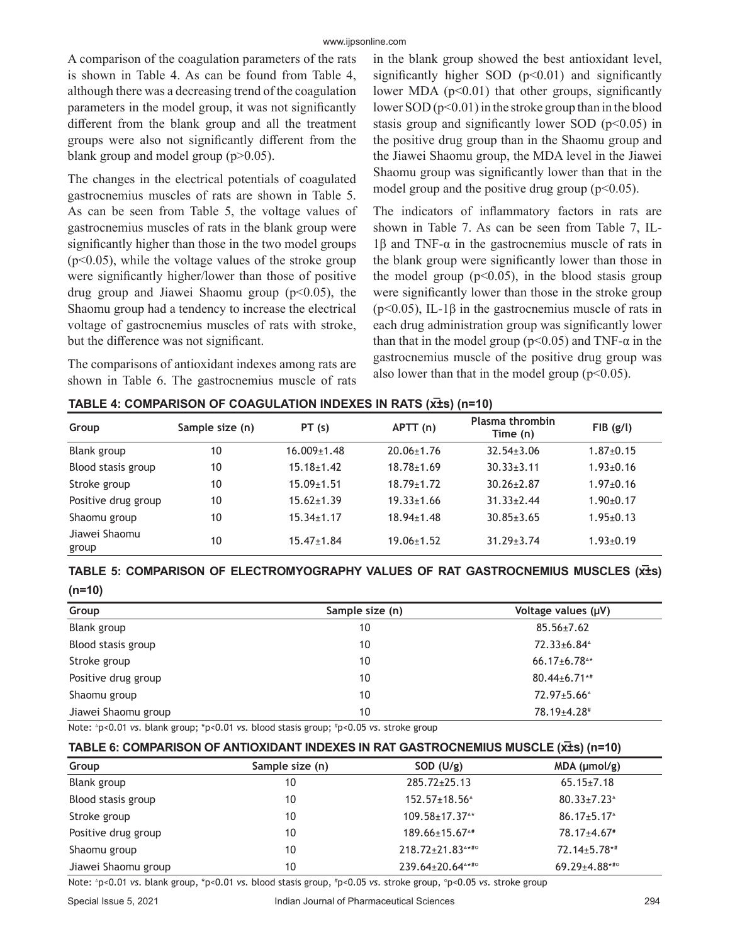A comparison of the coagulation parameters of the rats is shown in Table 4. As can be found from Table 4, although there was a decreasing trend of the coagulation parameters in the model group, it was not significantly different from the blank group and all the treatment groups were also not significantly different from the blank group and model group  $(p>0.05)$ .

The changes in the electrical potentials of coagulated gastrocnemius muscles of rats are shown in Table 5. As can be seen from Table 5, the voltage values of gastrocnemius muscles of rats in the blank group were significantly higher than those in the two model groups  $(p<0.05)$ , while the voltage values of the stroke group were significantly higher/lower than those of positive drug group and Jiawei Shaomu group  $(p<0.05)$ , the Shaomu group had a tendency to increase the electrical voltage of gastrocnemius muscles of rats with stroke, but the difference was not significant.

The comparisons of antioxidant indexes among rats are shown in Table 6. The gastrocnemius muscle of rats

in the blank group showed the best antioxidant level, significantly higher SOD  $(p<0.01)$  and significantly lower MDA (p<0.01) that other groups, significantly lower SOD  $(p<0.01)$  in the stroke group than in the blood stasis group and significantly lower SOD ( $p<0.05$ ) in the positive drug group than in the Shaomu group and the Jiawei Shaomu group, the MDA level in the Jiawei Shaomu group was significantly lower than that in the model group and the positive drug group  $(p<0.05)$ .

The indicators of inflammatory factors in rats are shown in Table 7. As can be seen from Table 7, IL-1β and TNF-α in the gastrocnemius muscle of rats in the blank group were significantly lower than those in the model group  $(p<0.05)$ , in the blood stasis group were significantly lower than those in the stroke group ( $p<0.05$ ), IL-1 $\beta$  in the gastrocnemius muscle of rats in each drug administration group was significantly lower than that in the model group ( $p<0.05$ ) and TNF- $\alpha$  in the gastrocnemius muscle of the positive drug group was also lower than that in the model group ( $p<0.05$ ).

| Group                  | Sample size (n) | PT(s)             | APT(n)           | Plasma thrombin<br>Time (n) | $FIB$ (g/l)     |
|------------------------|-----------------|-------------------|------------------|-----------------------------|-----------------|
| Blank group            | 10              | $16.009 \pm 1.48$ | $20.06 \pm 1.76$ | $32.54 \pm 3.06$            | $1.87 \pm 0.15$ |
| Blood stasis group     | 10              | $15.18 \pm 1.42$  | $18.78 \pm 1.69$ | $30.33 \pm 3.11$            | $1.93 \pm 0.16$ |
| Stroke group           | 10              | $15.09 \pm 1.51$  | $18.79 \pm 1.72$ | $30.26 \pm 2.87$            | $1.97 \pm 0.16$ |
| Positive drug group    | 10              | $15.62 \pm 1.39$  | $19.33 \pm 1.66$ | $31.33 \pm 2.44$            | $1.90 \pm 0.17$ |
| Shaomu group           | 10              | $15.34 \pm 1.17$  | $18.94 \pm 1.48$ | $30.85 \pm 3.65$            | $1.95 \pm 0.13$ |
| Jiawei Shaomu<br>group | 10              | $15.47 \pm 1.84$  | $19.06 \pm 1.52$ | $31.29 \pm 3.74$            | $1.93 \pm 0.19$ |

#### **TABLE 4: COMPARISON OF COAGULATION INDEXES IN RATS (x̅±s) (n=10)**

# TABLE 5: COMPARISON OF ELECTROMYOGRAPHY VALUES OF RAT GASTROCNEMIUS MUSCLES (x<sup>ł</sup>s) **(n=10)**

| Group               | Sample size (n) | Voltage values (µV)            |
|---------------------|-----------------|--------------------------------|
| Blank group         | 10              | $85.56 \pm 7.62$               |
| Blood stasis group  | 10              | 72.33±6.84 <sup>^</sup>        |
| Stroke group        | 10              | $66.17 \pm 6.78$ <sup>**</sup> |
| Positive drug group | 10              | $80.44 \pm 6.71$ **            |
| Shaomu group        | 10              | 72.97±5.66 <sup>^</sup>        |
| Jiawei Shaomu group | 10              | 78.19±4.28#                    |

Note: △p<0.01 *vs.* blank group; \*p<0.01 *vs.* blood stasis group; # p<0.05 *vs.* stroke group

| TABLE 6: COMPARISON OF ANTIOXIDANT INDEXES IN RAT GASTROCNEMIUS MUSCLE (x±s) (n=10) |                 |                                  |                                                    |  |  |
|-------------------------------------------------------------------------------------|-----------------|----------------------------------|----------------------------------------------------|--|--|
| Group                                                                               | Sample size (n) | SOD $(U/g)$                      | $MDA$ ( $µmol/g$ )                                 |  |  |
| Blank group                                                                         | 10              | $285.72 \pm 25.13$               | $65.15 \pm 7.18$                                   |  |  |
| Blood stasis group                                                                  | 10              | $152.57 \pm 18.56^4$             | $80.33 \pm 7.23$ <sup><math>\triangle</math></sup> |  |  |
| Stroke group                                                                        | 10              | $109.58 \pm 17.37$ <sup>**</sup> | $86.17 \pm 5.17$ <sup><math>\triangle</math></sup> |  |  |
| Positive drug group                                                                 | 10              | $189.66 \pm 15.67$ <sup>**</sup> | 78.17±4.67 <sup>#</sup>                            |  |  |
| Shaomu group                                                                        | 10              | 218.72+21.83****                 | $72.14 \pm 5.78$ **                                |  |  |
| Jiawei Shaomu group                                                                 | 10              | 239.64±20.64^*#0                 | $69.29 \pm 4.88$ ***                               |  |  |

Note: △p<0.01 *vs.* blank group, \*p<0.01 *vs.* blood stasis group, # p<0.05 *vs.* stroke group, ○p<0.05 *vs.* stroke group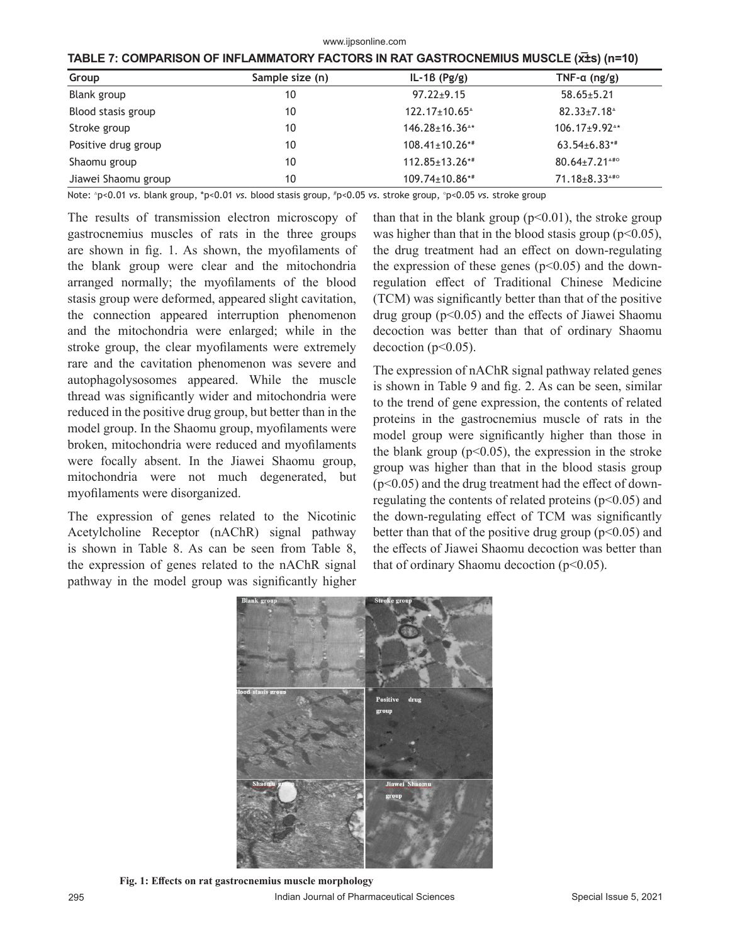www.ijpsonline.com

|  |  | TABLE 7: COMPARISON OF INFLAMMATORY FACTORS IN RAT GASTROCNEMIUS MUSCLE (XIS) (n=10) |
|--|--|--------------------------------------------------------------------------------------|
|--|--|--------------------------------------------------------------------------------------|

| Group               | Sample size (n) | $IL-1B$ (Pg/g)                                      | TNF- $\alpha$ (ng/g)              |
|---------------------|-----------------|-----------------------------------------------------|-----------------------------------|
| Blank group         | 10              | $97.22 \pm 9.15$                                    | $58.65 \pm 5.21$                  |
| Blood stasis group  | 10              | $122.17 \pm 10.65$ <sup><math>\text{A}</math></sup> | $82.33 \pm 7.18^{\circ}$          |
| Stroke group        | 10              | $146.28 \pm 16.36$ <sup>**</sup>                    | $106.17 \pm 9.92$ <sup>**</sup>   |
| Positive drug group | 10              | $108.41 \pm 10.26$ **                               | $63.54{\scriptstyle\pm6.83^{**}}$ |
| Shaomu group        | 10              | $112.85 \pm 13.26$ **                               | $80.64 \pm 7.21$ <sup>4#o</sup>   |
| Jiawei Shaomu group | 10              | 109.74±10.86**                                      | $71.18 \pm 8.33$ <sup>4#o</sup>   |

Note: △p<0.01 *vs.* blank group, \*p<0.01 *vs.* blood stasis group, # p<0.05 *vs.* stroke group, ○ p<0.05 *vs.* stroke group

The results of transmission electron microscopy of gastrocnemius muscles of rats in the three groups are shown in fig. 1. As shown, the myofilaments of the blank group were clear and the mitochondria arranged normally; the myofilaments of the blood stasis group were deformed, appeared slight cavitation, the connection appeared interruption phenomenon and the mitochondria were enlarged; while in the stroke group, the clear myofilaments were extremely rare and the cavitation phenomenon was severe and autophagolysosomes appeared. While the muscle thread was significantly wider and mitochondria were reduced in the positive drug group, but better than in the model group. In the Shaomu group, myofilaments were broken, mitochondria were reduced and myofilaments were focally absent. In the Jiawei Shaomu group, mitochondria were not much degenerated, but myofilaments were disorganized.

The expression of genes related to the Nicotinic Acetylcholine Receptor (nAChR) signal pathway is shown in Table 8. As can be seen from Table 8, the expression of genes related to the nAChR signal pathway in the model group was significantly higher than that in the blank group  $(p<0.01)$ , the stroke group was higher than that in the blood stasis group ( $p<0.05$ ), the drug treatment had an effect on down-regulating the expression of these genes ( $p$ <0.05) and the downregulation effect of Traditional Chinese Medicine (TCM) was significantly better than that of the positive drug group ( $p<0.05$ ) and the effects of Jiawei Shaomu decoction was better than that of ordinary Shaomu decoction ( $p<0.05$ ).

The expression of nAChR signal pathway related genes is shown in Table 9 and fig. 2. As can be seen, similar to the trend of gene expression, the contents of related proteins in the gastrocnemius muscle of rats in the model group were significantly higher than those in the blank group  $(p<0.05)$ , the expression in the stroke group was higher than that in the blood stasis group  $(p<0.05)$  and the drug treatment had the effect of downregulating the contents of related proteins  $(p<0.05)$  and the down-regulating effect of TCM was significantly better than that of the positive drug group ( $p<0.05$ ) and the effects of Jiawei Shaomu decoction was better than that of ordinary Shaomu decoction  $(p<0.05)$ .



**Fig. 1: Effects on rat gastrocnemius muscle morphology**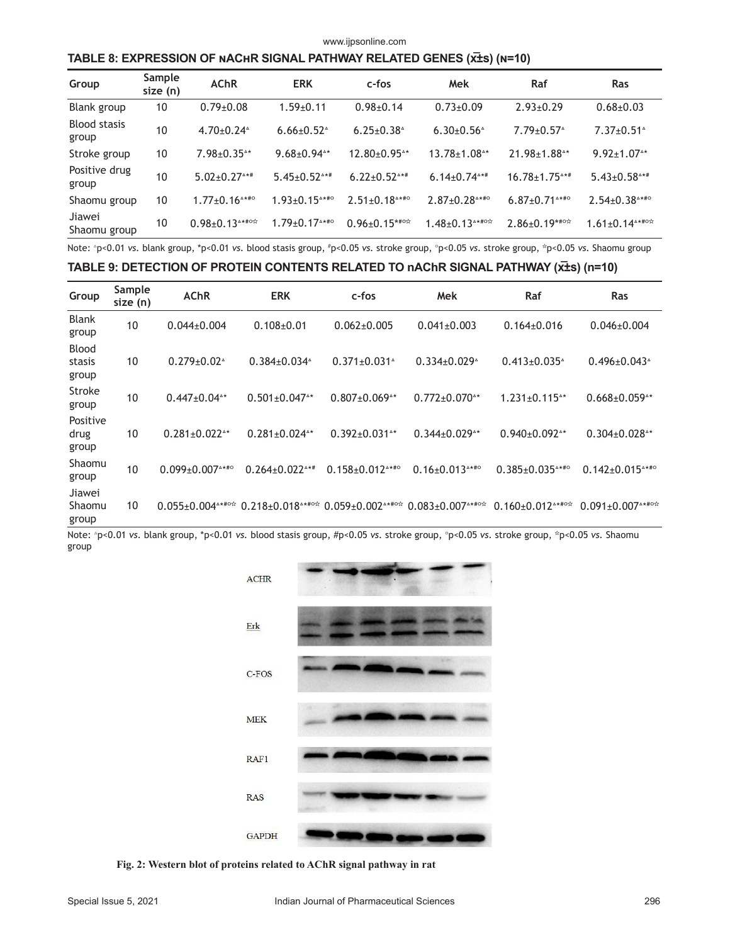#### www.ijpsonline.com

#### **TABLE 8: EXPRESSION OF nAChR SIGNAL PATHWAY RELATED GENES (x̅±s) (n=10)**

| Group                        | Sample<br>size (n) | <b>AChR</b>                                              | <b>ERK</b>                                                 | c-fos                                                            | Mek                                                   | Raf                                                     | <b>Ras</b>                                                               |
|------------------------------|--------------------|----------------------------------------------------------|------------------------------------------------------------|------------------------------------------------------------------|-------------------------------------------------------|---------------------------------------------------------|--------------------------------------------------------------------------|
| Blank group                  | 10                 | $0.79 \pm 0.08$                                          | $1.59 + 0.11$                                              | $0.98 + 0.14$                                                    | $0.73 \pm 0.09$                                       | $2.93+0.29$                                             | $0.68 + 0.03$                                                            |
| <b>Blood stasis</b><br>group | 10                 | $4.70 \pm 0.24$ <sup><math>\circ</math></sup>            | $6.66 \pm 0.52$ <sup><math>\circ</math></sup>              | $6.25 \pm 0.38^{\circ}$                                          | $6.30\pm0.56^{\circ}$                                 | $7.79 \pm 0.57$ <sup><math>\circ</math></sup>           | $7.37 \pm 0.51$ <sup><math>\triangle</math></sup>                        |
| Stroke group                 | 10                 | $7.98 \pm 0.35$ <sup>**</sup>                            | $9.68 \pm 0.94$ <sup>**</sup>                              | $12.80+0.95$ <sup>**</sup>                                       | $13.78 \pm 1.08$ <sup>**</sup>                        | $21.98 \pm 1.88$ <sup><math>\text{A} \star</math></sup> | $9.92 \pm 1.07$ <sup>**</sup>                                            |
| Positive drug<br>group       | 10                 | $5.02 \pm 0.27$ <sup>***</sup>                           | $5.45 \pm 0.52$ ***                                        | $6.22 \pm 0.52$ ***                                              | $6.14 \pm 0.74$ <sup>***</sup>                        | $16.78 \pm 1.75$ <sup>***</sup>                         | $5.43 \pm 0.58$ ***                                                      |
| Shaomu group                 | 10                 | $1.77 \pm 0.16$ <sup><math>\text{**} \neq 0</math></sup> | $1.93 \pm 0.15$ <sup>***</sup>                             | $2.51 \pm 0.18$ <sup><math>\text{**} \text{#} \circ</math></sup> | $2.87 \pm 0.28$ <sup><math>\text{**} \#0</math></sup> | $6.87 \pm 0.71$ <sup>A***</sup>                         | $2.54 \pm 0.38$ ****                                                     |
| Jiawei<br>Shaomu group       | 10                 | $0.98 \pm 0.13***$                                       | $1.79 \pm 0.17$ <sup><math>\text{**} \text{#}</math></sup> | $0.96 \pm 0.15***$                                               | $1.48 \pm 0.13$ $* \pm 0.73$                          | $2.86 \pm 0.19^{***}$                                   | $1.61 \pm 0.14$ <sup><math>\text{***}</math>o<math>\text{K}</math></sup> |

Note: △p<0.01 *vs.* blank group, \*p<0.01 *vs.* blood stasis group, # p<0.05 *vs.* stroke group, ○p<0.05 *vs.* stroke group, ☆p<0.05 *vs.* Shaomu group

#### **TABLE 9: DETECTION OF PROTEIN CONTENTS RELATED TO nAChR SIGNAL PATHWAY (x̅±s) (n=10)**

| Group                           | Sample<br>size (n) | <b>AChR</b>                                           | <b>ERK</b>                                                                   | c-fos                                                | Mek                                                                         | Raf                                                   | <b>Ras</b>                                                                  |
|---------------------------------|--------------------|-------------------------------------------------------|------------------------------------------------------------------------------|------------------------------------------------------|-----------------------------------------------------------------------------|-------------------------------------------------------|-----------------------------------------------------------------------------|
| <b>Blank</b><br>group           | 10                 | $0.044 \pm 0.004$                                     | $0.108 \pm 0.01$                                                             | $0.062 \pm 0.005$                                    | $0.041 \pm 0.003$                                                           | $0.164 \pm 0.016$                                     | $0.046 \pm 0.004$                                                           |
| <b>Blood</b><br>stasis<br>group | 10                 | $0.279 \pm 0.02^{\circ}$                              | $0.384 \pm 0.034$ <sup><math>\triangle</math></sup>                          | $0.371 \pm 0.031$ <sup><math>\triangle</math></sup>  | $0.334 \pm 0.029$ <sup><math>\triangle</math></sup>                         | $0.413 \pm 0.035$ <sup><math>\text{A}</math></sup>    | $0.496 \pm 0.043$ <sup><math>\circ</math></sup>                             |
| Stroke<br>group                 | 10                 | $0.447 \pm 0.04$ <sup>**</sup>                        | $0.501 \pm 0.047$ <sup>**</sup>                                              | $0.807 \pm 0.069$ <sup>**</sup>                      | $0.772 \pm 0.070$ <sup>**</sup>                                             | $1.231 \pm 0.115$ <sup>**</sup>                       | $0.668 \pm 0.059$ <sup>**</sup>                                             |
| Positive<br>drug<br>group       | 10                 | $0.281 \pm 0.022$ <sup>**</sup>                       | $0.281 \pm 0.024$ <sup>**</sup>                                              | $0.392 \pm 0.031$ <sup>**</sup>                      | $0.344 \pm 0.029$ <sup>**</sup>                                             | $0.940\pm0.092$ <sup>**</sup>                         | $0.304\pm0.028$ <sup>**</sup>                                               |
| Shaomu<br>group                 | 10                 | $0.099 \pm 0.007$ <sup><math>\text{***}</math>o</sup> | $0.264 \pm 0.022$ <sup><math>***</math></sup>                                | $0.158 \pm 0.012$ <sup><math>\text{**}</math>*</sup> | $0.16 \pm 0.013$ ****                                                       | $0.385 \pm 0.035$ <sup><math>\text{**}</math>#°</sup> | $0.142 \pm 0.015$ <sup>***</sup>                                            |
| Jiawei<br>Shaomu<br>group       | 10                 | $0.055 \pm 0.004$ *** **                              | $0.218 \pm 0.018$ <sup><math>\text{**}</math>#<math>\circ \circ</math></sup> | $0.059 + 0.002$ ******                               | $0.083 \pm 0.007$ <sup><math>\text{***}</math>o<math>\text{**}</math></sup> | $0.160 \pm 0.012$ <sup>***</sup> **                   | $0.091 \pm 0.007$ <sup><math>\text{***}</math>o<math>\text{**}</math></sup> |

Note: △p<0.01 *vs.* blank group, \*p<0.01 *vs.* blood stasis group, #p<0.05 *vs.* stroke group, ○p<0.05 *vs.* stroke group, ☆p<0.05 *vs.* Shaomu group



**Fig. 2: Western blot of proteins related to AChR signal pathway in rat**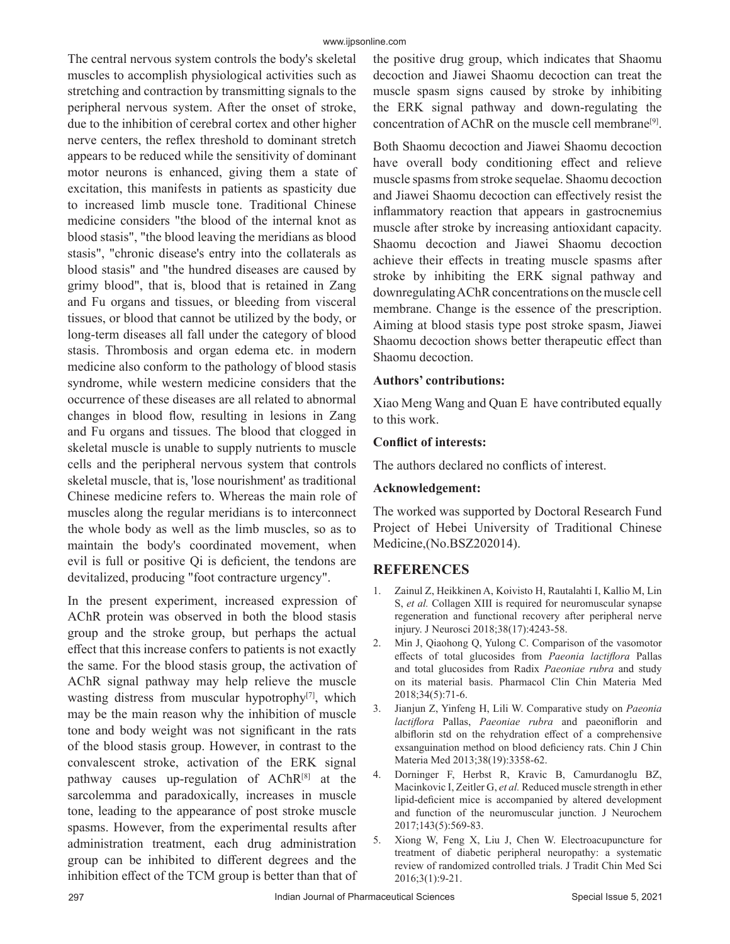The central nervous system controls the body's skeletal muscles to accomplish physiological activities such as stretching and contraction by transmitting signals to the peripheral nervous system. After the onset of stroke, due to the inhibition of cerebral cortex and other higher nerve centers, the reflex threshold to dominant stretch appears to be reduced while the sensitivity of dominant motor neurons is enhanced, giving them a state of excitation, this manifests in patients as spasticity due to increased limb muscle tone. Traditional Chinese medicine considers "the blood of the internal knot as blood stasis", "the blood leaving the meridians as blood stasis", "chronic disease's entry into the collaterals as blood stasis" and "the hundred diseases are caused by grimy blood", that is, blood that is retained in Zang and Fu organs and tissues, or bleeding from visceral tissues, or blood that cannot be utilized by the body, or long-term diseases all fall under the category of blood stasis. Thrombosis and organ edema etc. in modern medicine also conform to the pathology of blood stasis syndrome, while western medicine considers that the occurrence of these diseases are all related to abnormal changes in blood flow, resulting in lesions in Zang and Fu organs and tissues. The blood that clogged in skeletal muscle is unable to supply nutrients to muscle cells and the peripheral nervous system that controls skeletal muscle, that is, 'lose nourishment' as traditional Chinese medicine refers to. Whereas the main role of muscles along the regular meridians is to interconnect the whole body as well as the limb muscles, so as to maintain the body's coordinated movement, when evil is full or positive Qi is deficient, the tendons are devitalized, producing "foot contracture urgency".

In the present experiment, increased expression of AChR protein was observed in both the blood stasis group and the stroke group, but perhaps the actual effect that this increase confers to patients is not exactly the same. For the blood stasis group, the activation of AChR signal pathway may help relieve the muscle wasting distress from muscular hypotrophy<sup>[7]</sup>, which may be the main reason why the inhibition of muscle tone and body weight was not significant in the rats of the blood stasis group. However, in contrast to the convalescent stroke, activation of the ERK signal pathway causes up-regulation of AChR[8] at the sarcolemma and paradoxically, increases in muscle tone, leading to the appearance of post stroke muscle spasms. However, from the experimental results after administration treatment, each drug administration group can be inhibited to different degrees and the inhibition effect of the TCM group is better than that of

the positive drug group, which indicates that Shaomu decoction and Jiawei Shaomu decoction can treat the muscle spasm signs caused by stroke by inhibiting the ERK signal pathway and down-regulating the concentration of AChR on the muscle cell membrane[9].

Both Shaomu decoction and Jiawei Shaomu decoction have overall body conditioning effect and relieve muscle spasms from stroke sequelae. Shaomu decoction and Jiawei Shaomu decoction can effectively resist the inflammatory reaction that appears in gastrocnemius muscle after stroke by increasing antioxidant capacity. Shaomu decoction and Jiawei Shaomu decoction achieve their effects in treating muscle spasms after stroke by inhibiting the ERK signal pathway and downregulating AChR concentrations on the muscle cell membrane. Change is the essence of the prescription. Aiming at blood stasis type post stroke spasm, Jiawei Shaomu decoction shows better therapeutic effect than Shaomu decoction.

### **Authors' contributions:**

Xiao Meng Wang and Quan E have contributed equally to this work.

# **Conflict of interests:**

The authors declared no conflicts of interest.

#### **Acknowledgement:**

The worked was supported by Doctoral Research Fund Project of Hebei University of Traditional Chinese Medicine,(No.BSZ202014).

# **REFERENCES**

- 1. Zainul Z, Heikkinen A, Koivisto H, Rautalahti I, Kallio M, Lin S, *et al.* Collagen XIII is required for neuromuscular synapse regeneration and functional recovery after peripheral nerve injury. J Neurosci 2018;38(17):4243-58.
- 2. Min J, Qiaohong Q, Yulong C. Comparison of the vasomotor effects of total glucosides from *Paeonia lactiflora* Pallas and total glucosides from Radix *Paeoniae rubra* and study on its material basis. Pharmacol Clin Chin Materia Med 2018;34(5):71-6.
- 3. Jianjun Z, Yinfeng H, Lili W. Comparative study on *Paeonia lactiflora* Pallas, *Paeoniae rubra* and paeoniflorin and albiflorin std on the rehydration effect of a comprehensive exsanguination method on blood deficiency rats. Chin J Chin Materia Med 2013;38(19):3358-62.
- 4. Dorninger F, Herbst R, Kravic B, Camurdanoglu BZ, Macinkovic I, Zeitler G, *et al.* Reduced muscle strength in ether lipid-deficient mice is accompanied by altered development and function of the neuromuscular junction. J Neurochem 2017;143(5):569-83.
- 5. Xiong W, Feng X, Liu J, Chen W. Electroacupuncture for treatment of diabetic peripheral neuropathy: a systematic review of randomized controlled trials. J Tradit Chin Med Sci 2016;3(1):9-21.